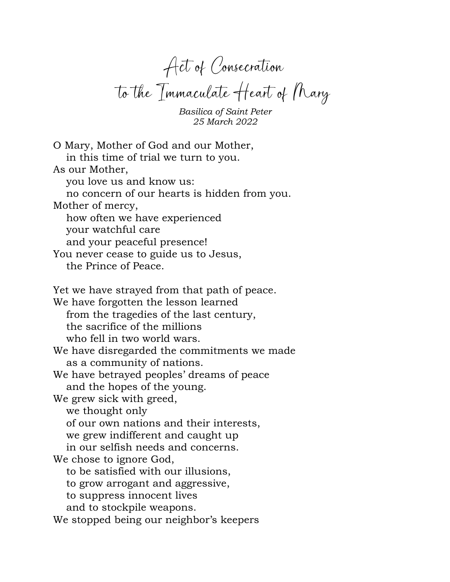Act of Consecration to the Immaculate Heart of Mary

*Basilica of Saint Peter 25 March 2022*

O Mary, Mother of God and our Mother, in this time of trial we turn to you. As our Mother, you love us and know us: no concern of our hearts is hidden from you. Mother of mercy, how often we have experienced your watchful care and your peaceful presence! You never cease to guide us to Jesus, the Prince of Peace. Yet we have strayed from that path of peace. We have forgotten the lesson learned from the tragedies of the last century, the sacrifice of the millions who fell in two world wars. We have disregarded the commitments we made as a community of nations. We have betrayed peoples' dreams of peace and the hopes of the young. We grew sick with greed, we thought only of our own nations and their interests, we grew indifferent and caught up in our selfish needs and concerns. We chose to ignore God, to be satisfied with our illusions, to grow arrogant and aggressive, to suppress innocent lives and to stockpile weapons. We stopped being our neighbor's keepers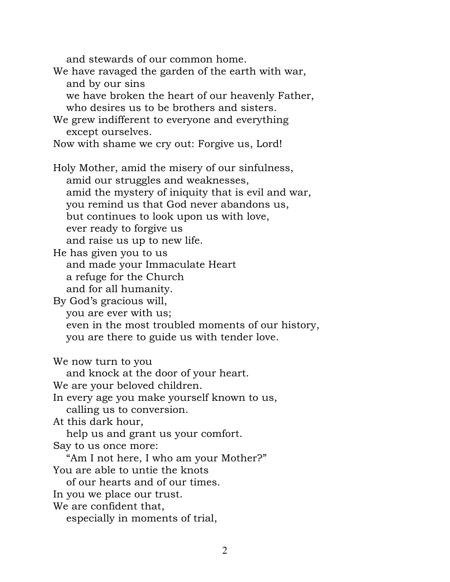and stewards of our common home. We have ravaged the garden of the earth with war, and by our sins we have broken the heart of our heavenly Father, who desires us to be brothers and sisters. We grew indifferent to everyone and everything except ourselves. Now with shame we cry out: Forgive us, Lord! Holy Mother, amid the misery of our sinfulness, amid our struggles and weaknesses, amid the mystery of iniquity that is evil and war, you remind us that God never abandons us, but continues to look upon us with love, ever ready to forgive us and raise us up to new life. He has given you to us and made your Immaculate Heart a refuge for the Church and for all humanity. By God's gracious will, you are ever with us; even in the most troubled moments of our history, you are there to guide us with tender love. We now turn to you and knock at the door of your heart. We are your beloved children. In every age you make yourself known to us, calling us to conversion. At this dark hour, help us and grant us your comfort. Say to us once more: "Am I not here, I who am your Mother?" You are able to untie the knots of our hearts and of our times. In you we place our trust. We are confident that, especially in moments of trial,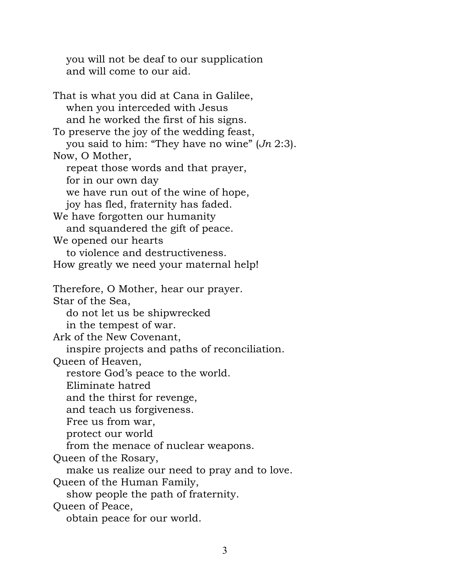you will not be deaf to our supplication and will come to our aid.

That is what you did at Cana in Galilee, when you interceded with Jesus and he worked the first of his signs. To preserve the joy of the wedding feast, you said to him: "They have no wine" (*Jn* 2:3). Now, O Mother, repeat those words and that prayer, for in our own day we have run out of the wine of hope, joy has fled, fraternity has faded. We have forgotten our humanity and squandered the gift of peace. We opened our hearts to violence and destructiveness. How greatly we need your maternal help! Therefore, O Mother, hear our prayer. Star of the Sea, do not let us be shipwrecked in the tempest of war. Ark of the New Covenant, inspire projects and paths of reconciliation. Queen of Heaven, restore God's peace to the world. Eliminate hatred and the thirst for revenge, and teach us forgiveness. Free us from war, protect our world from the menace of nuclear weapons. Queen of the Rosary, make us realize our need to pray and to love. Queen of the Human Family, show people the path of fraternity. Queen of Peace, obtain peace for our world.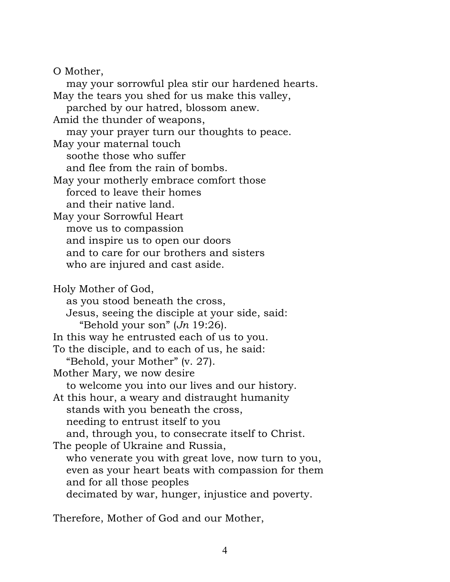O Mother,

may your sorrowful plea stir our hardened hearts. May the tears you shed for us make this valley, parched by our hatred, blossom anew. Amid the thunder of weapons, may your prayer turn our thoughts to peace. May your maternal touch soothe those who suffer and flee from the rain of bombs. May your motherly embrace comfort those forced to leave their homes and their native land. May your Sorrowful Heart move us to compassion and inspire us to open our doors and to care for our brothers and sisters who are injured and cast aside. Holy Mother of God, as you stood beneath the cross, Jesus, seeing the disciple at your side, said: "Behold your son" (*Jn* 19:26). In this way he entrusted each of us to you. To the disciple, and to each of us, he said: "Behold, your Mother" (v. 27). Mother Mary, we now desire to welcome you into our lives and our history. At this hour, a weary and distraught humanity stands with you beneath the cross, needing to entrust itself to you and, through you, to consecrate itself to Christ. The people of Ukraine and Russia, who venerate you with great love, now turn to you, even as your heart beats with compassion for them and for all those peoples decimated by war, hunger, injustice and poverty.

Therefore, Mother of God and our Mother,